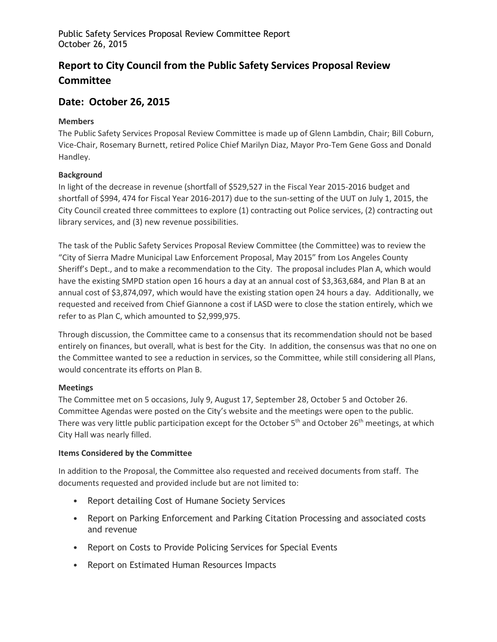Public Safety Services Proposal Review Committee Report October 26, 2015

# **Report to City Council from the Public Safety Services Proposal Review Committee**

# **Date: October 26, 2015**

#### **Members**

The Public Safety Services Proposal Review Committee is made up of Glenn Lambdin, Chair; Bill Coburn, Vice-Chair, Rosemary Burnett, retired Police Chief Marilyn Diaz, Mayor Pro-Tem Gene Goss and Donald Handley.

### **Background**

In light of the decrease in revenue (shortfall of \$529,527 in the Fiscal Year 2015-2016 budget and shortfall of \$994, 474 for Fiscal Year 2016-2017) due to the sun-setting of the UUT on July 1, 2015, the City Council created three committees to explore (1) contracting out Police services, (2) contracting out library services, and (3) new revenue possibilities.

The task of the Public Safety Services Proposal Review Committee (the Committee) was to review the "City of Sierra Madre Municipal Law Enforcement Proposal, May 2015" from Los Angeles County Sheriff's Dept., and to make a recommendation to the City. The proposal includes Plan A, which would have the existing SMPD station open 16 hours a day at an annual cost of \$3,363,684, and Plan B at an annual cost of \$3,874,097, which would have the existing station open 24 hours a day. Additionally, we requested and received from Chief Giannone a cost if LASD were to close the station entirely, which we refer to as Plan C, which amounted to \$2,999,975.

Through discussion, the Committee came to a consensus that its recommendation should not be based entirely on finances, but overall, what is best for the City. In addition, the consensus was that no one on the Committee wanted to see a reduction in services, so the Committee, while still considering all Plans, would concentrate its efforts on Plan B.

## **Meetings**

The Committee met on 5 occasions, July 9, August 17, September 28, October 5 and October 26. Committee Agendas were posted on the City's website and the meetings were open to the public. There was very little public participation except for the October 5<sup>th</sup> and October 26<sup>th</sup> meetings, at which City Hall was nearly filled.

#### **Items Considered by the Committee**

In addition to the Proposal, the Committee also requested and received documents from staff. The documents requested and provided include but are not limited to:

- Report detailing Cost of Humane Society Services
- Report on Parking Enforcement and Parking Citation Processing and associated costs and revenue
- Report on Costs to Provide Policing Services for Special Events
- Report on Estimated Human Resources Impacts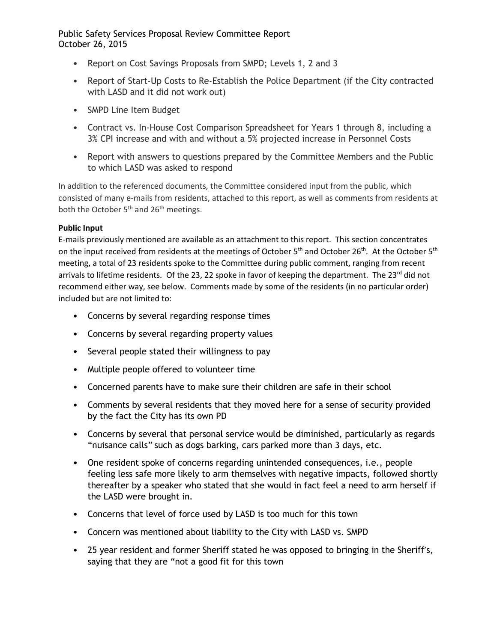# Public Safety Services Proposal Review Committee Report October 26, 2015

- Report on Cost Savings Proposals from SMPD; Levels 1, 2 and 3
- Report of Start-Up Costs to Re-Establish the Police Department (if the City contracted with LASD and it did not work out)
- SMPD Line Item Budget
- Contract vs. In-House Cost Comparison Spreadsheet for Years 1 through 8, including a 3% CPI increase and with and without a 5% projected increase in Personnel Costs
- Report with answers to questions prepared by the Committee Members and the Public to which LASD was asked to respond

In addition to the referenced documents, the Committee considered input from the public, which consisted of many e-mails from residents, attached to this report, as well as comments from residents at both the October 5<sup>th</sup> and 26<sup>th</sup> meetings.

### **Public Input**

E-mails previously mentioned are available as an attachment to this report. This section concentrates on the input received from residents at the meetings of October 5<sup>th</sup> and October 26<sup>th</sup>. At the October 5<sup>th</sup> meeting, a total of 23 residents spoke to the Committee during public comment, ranging from recent arrivals to lifetime residents. Of the 23, 22 spoke in favor of keeping the department. The 23<sup>rd</sup> did not recommend either way, see below. Comments made by some of the residents (in no particular order) included but are not limited to:

- Concerns by several regarding response times
- Concerns by several regarding property values
- Several people stated their willingness to pay
- Multiple people offered to volunteer time
- Concerned parents have to make sure their children are safe in their school
- Comments by several residents that they moved here for a sense of security provided by the fact the City has its own PD
- Concerns by several that personal service would be diminished, particularly as regards "nuisance calls" such as dogs barking, cars parked more than 3 days, etc.
- One resident spoke of concerns regarding unintended consequences, i.e., people feeling less safe more likely to arm themselves with negative impacts, followed shortly thereafter by a speaker who stated that she would in fact feel a need to arm herself if the LASD were brought in.
- Concerns that level of force used by LASD is too much for this town
- Concern was mentioned about liability to the City with LASD vs. SMPD
- 25 year resident and former Sheriff stated he was opposed to bringing in the Sheriff's, saying that they are "not a good fit for this town